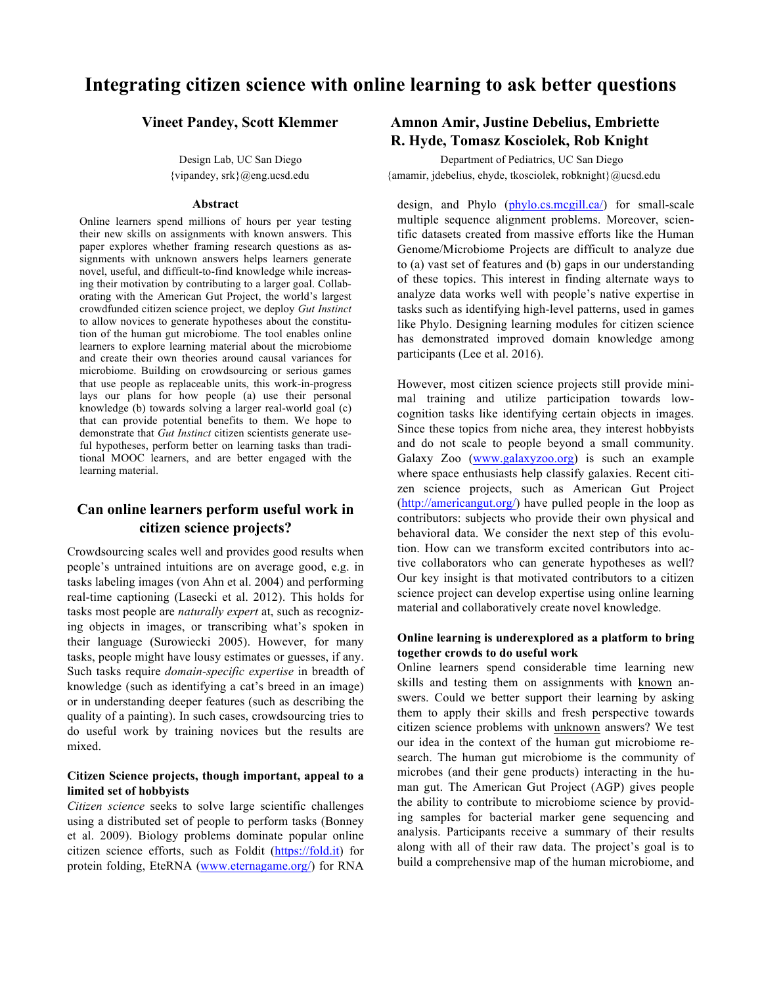# **Integrating citizen science with online learning to ask better questions**

#### **Abstract**

Online learners spend millions of hours per year testing their new skills on assignments with known answers. This paper explores whether framing research questions as assignments with unknown answers helps learners generate novel, useful, and difficult-to-find knowledge while increasing their motivation by contributing to a larger goal. Collaborating with the American Gut Project, the world's largest crowdfunded citizen science project, we deploy *Gut Instinct* to allow novices to generate hypotheses about the constitution of the human gut microbiome. The tool enables online learners to explore learning material about the microbiome and create their own theories around causal variances for microbiome. Building on crowdsourcing or serious games that use people as replaceable units, this work-in-progress lays our plans for how people (a) use their personal knowledge (b) towards solving a larger real-world goal (c) that can provide potential benefits to them. We hope to demonstrate that *Gut Instinct* citizen scientists generate useful hypotheses, perform better on learning tasks than traditional MOOC learners, and are better engaged with the learning material.

## **Can online learners perform useful work in citizen science projects?**

Crowdsourcing scales well and provides good results when people's untrained intuitions are on average good, e.g. in tasks labeling images (von Ahn et al. 2004) and performing real-time captioning (Lasecki et al. 2012). This holds for tasks most people are *naturally expert* at, such as recognizing objects in images, or transcribing what's spoken in their language (Surowiecki 2005). However, for many tasks, people might have lousy estimates or guesses, if any. Such tasks require *domain-specific expertise* in breadth of knowledge (such as identifying a cat's breed in an image) or in understanding deeper features (such as describing the quality of a painting). In such cases, crowdsourcing tries to do useful work by training novices but the results are mixed.

#### **Citizen Science projects, though important, appeal to a limited set of hobbyists**

*Citizen science* seeks to solve large scientific challenges using a distributed set of people to perform tasks (Bonney et al. 2009). Biology problems dominate popular online citizen science efforts, such as Foldit (https://fold.it) for protein folding, EteRNA (www.eternagame.org/) for RNA

## **Vineet Pandey, Scott Klemmer Amnon Amir, Justine Debelius, Embriette R. Hyde, Tomasz Kosciolek, Rob Knight**

Design Lab, UC San Diego Department of Pediatrics, UC San Diego {vipandey, srk}@eng.ucsd.edu {amamir, jdebelius, ehyde, tkosciolek, robknight}@ucsd.edu

> design, and Phylo (phylo.cs.mcgill.ca) for small-scale multiple sequence alignment problems. Moreover, scientific datasets created from massive efforts like the Human Genome/Microbiome Projects are difficult to analyze due to (a) vast set of features and (b) gaps in our understanding of these topics. This interest in finding alternate ways to analyze data works well with people's native expertise in tasks such as identifying high-level patterns, used in games like Phylo. Designing learning modules for citizen science has demonstrated improved domain knowledge among participants (Lee et al. 2016).

> However, most citizen science projects still provide minimal training and utilize participation towards lowcognition tasks like identifying certain objects in images. Since these topics from niche area, they interest hobbyists and do not scale to people beyond a small community. Galaxy Zoo (www.galaxyzoo.org) is such an example where space enthusiasts help classify galaxies. Recent citizen science projects, such as American Gut Project (http://americangut.org/) have pulled people in the loop as contributors: subjects who provide their own physical and behavioral data. We consider the next step of this evolution. How can we transform excited contributors into active collaborators who can generate hypotheses as well? Our key insight is that motivated contributors to a citizen science project can develop expertise using online learning material and collaboratively create novel knowledge.

#### **Online learning is underexplored as a platform to bring together crowds to do useful work**

Online learners spend considerable time learning new skills and testing them on assignments with known answers. Could we better support their learning by asking them to apply their skills and fresh perspective towards citizen science problems with unknown answers? We test our idea in the context of the human gut microbiome research. The human gut microbiome is the community of microbes (and their gene products) interacting in the human gut. The American Gut Project (AGP) gives people the ability to contribute to microbiome science by providing samples for bacterial marker gene sequencing and analysis. Participants receive a summary of their results along with all of their raw data. The project's goal is to build a comprehensive map of the human microbiome, and